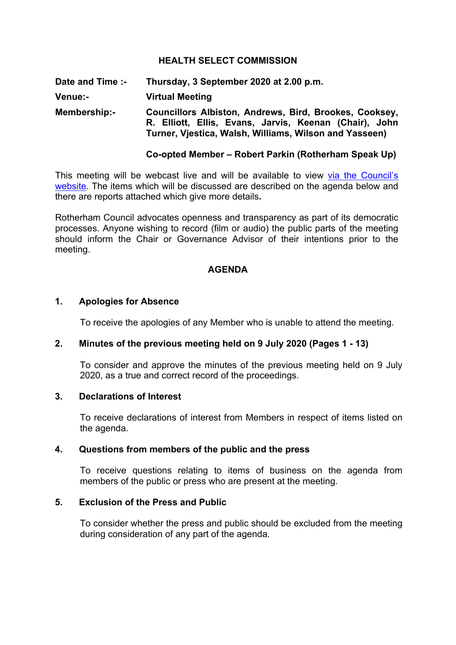## **HEALTH SELECT COMMISSION**

**Date and Time :- Thursday, 3 September 2020 at 2.00 p.m. Venue:- Virtual Meeting Membership:- Councillors Albiston, Andrews, Bird, Brookes, Cooksey, R. Elliott, Ellis, Evans, Jarvis, Keenan (Chair), John Turner, Vjestica, Walsh, Williams, Wilson and Yasseen)**

### **Co-opted Member – Robert Parkin (Rotherham Speak Up)**

This meeting will be webcast live and will be available to view via the [Council's](https://rotherham.public-i.tv/core/portal/home) [website.](https://rotherham.public-i.tv/core/portal/home) The items which will be discussed are described on the agenda below and there are reports attached which give more details**.**

Rotherham Council advocates openness and transparency as part of its democratic processes. Anyone wishing to record (film or audio) the public parts of the meeting should inform the Chair or Governance Advisor of their intentions prior to the meeting.

#### **AGENDA**

# **1. Apologies for Absence**

To receive the apologies of any Member who is unable to attend the meeting.

#### **2. Minutes of the previous meeting held on 9 July 2020 (Pages 1 - 13)**

To consider and approve the minutes of the previous meeting held on 9 July 2020, as a true and correct record of the proceedings.

#### **3. Declarations of Interest**

To receive declarations of interest from Members in respect of items listed on the agenda.

#### **4. Questions from members of the public and the press**

To receive questions relating to items of business on the agenda from members of the public or press who are present at the meeting.

# **5. Exclusion of the Press and Public**

To consider whether the press and public should be excluded from the meeting during consideration of any part of the agenda.